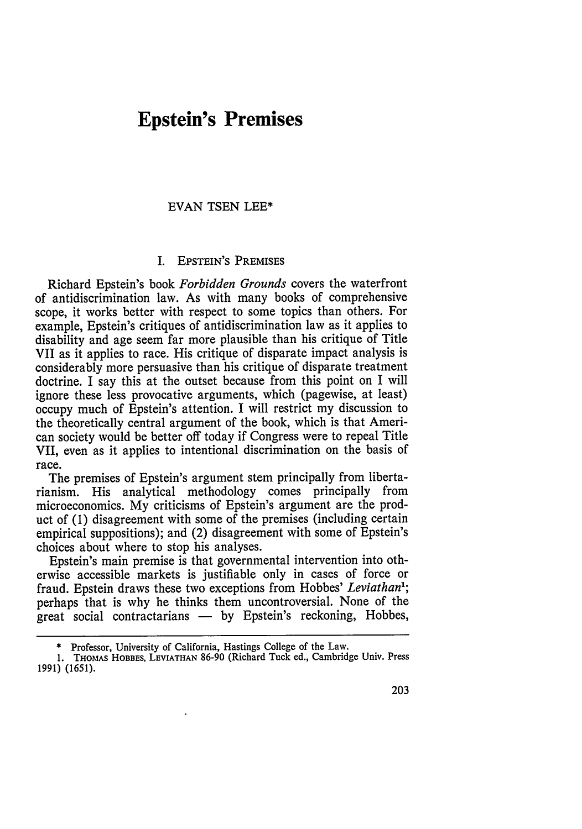## **Epstein's Premises**

## EVAN **TSEN** LEE\*

## I. EPSTEIN'S PREMISES

Richard Epstein's book *Forbidden Grounds* covers the waterfront of antidiscrimination law. As with many books of comprehensive scope, it works better with respect to some topics than others. For example, Epstein's critiques of antidiscrimination law as it applies to disability and age seem far more plausible than his critique of Title VII as it applies to race. His critique of disparate impact analysis is considerably more persuasive than his critique of disparate treatment doctrine. I say this at the outset because from this point on I will ignore these less provocative arguments, which (pagewise, at least) occupy much of Epstein's attention. I will restrict my discussion to the theoretically central argument of the book, which is that American society would be better off today if Congress were to repeal Title VII, even as it applies to intentional discrimination on the basis of race.

The premises of Epstein's argument stem principally from libertarianism. His analytical methodology comes principally from microeconomics. My criticisms of Epstein's argument are the product of (1) disagreement with some of the premises (including certain empirical suppositions); and (2) disagreement with some of Epstein's choices about where to stop his analyses.

Epstein's main premise is that governmental intervention into otherwise accessible markets is justifiable only in cases of force or fraud. Epstein draws these two exceptions from Hobbes' *Leviathan1 ;* perhaps that is why he thinks them uncontroversial. None of the  $r_{\text{er}}$  great social contractarians — by Epstein's reckoning, Hobbes,

Professor, University of California, Hastings College of the Law.

**<sup>1.</sup>** THOMAS HOBBES, **LEVIATHAN 86-90** (Richard Tuck ed., Cambridge **Univ.** Press **1991)** (1651).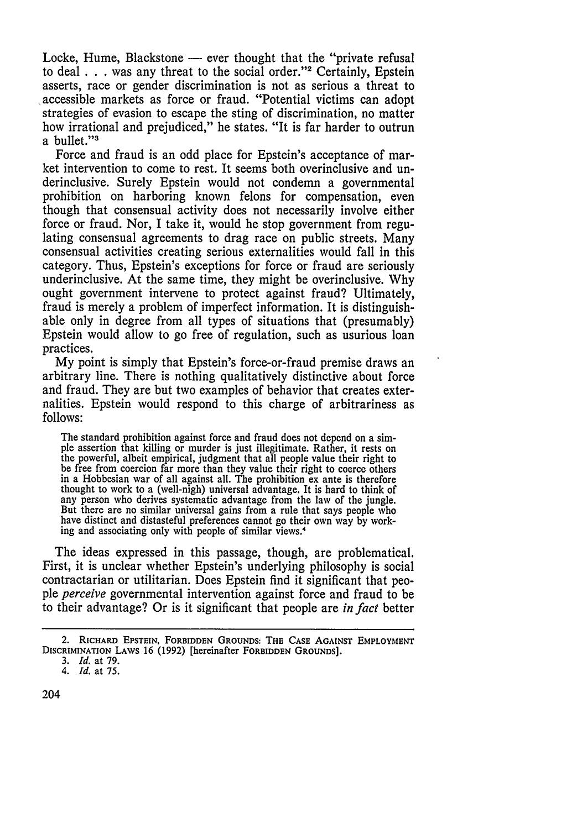Locke, Hume, Blackstone — ever thought that the "private refusal to deal **. . .** was any threat to the social order."2 Certainly, Epstein asserts, race or gender discrimination is not as serious a threat to accessible markets as force or fraud. "Potential victims can adopt strategies of evasion to escape the sting of discrimination, no matter how irrational and prejudiced," he states. "It is far harder to outrun a bullet."3

Force and fraud is an odd place for Epstein's acceptance of market intervention to come to rest. It seems both overinclusive and underinclusive. Surely Epstein would not condemn a governmental prohibition on harboring known felons for compensation, even though that consensual activity does not necessarily involve either force or fraud. Nor, I take it, would he stop government from regulating consensual agreements to drag race on public streets. Many consensual activities creating serious externalities would fall in this category. Thus, Epstein's exceptions for force or fraud are seriously underinclusive. At the same time, they might be overinclusive. Why ought government intervene to protect against fraud? Ultimately, fraud is merely a problem of imperfect information. It is distinguishable only in degree from all types of situations that (presumably) Epstein would allow to go free of regulation, such as usurious loan practices.

My point is simply that Epstein's force-or-fraud premise draws an arbitrary line. There is nothing qualitatively distinctive about force and fraud. They are but two examples of behavior that creates externalities. Epstein would respond to this charge of arbitrariness as follows:

The standard prohibition against force and fraud does not depend on a simple assertion that killing or murder is just illegitimate. Rather, it rests on the powerful, albeit empirical, judgment that all people value their right to be free from coercion far more than they value their right to coerce others in a Hobbesian war of all against all. The prohibition ex ante is therefore thought to work to a (well-nigh) universal advantage. It is hard to think of any person who derives systematic advantage from the law of the jungle. But there are no similar universal gains from a rule that says people who have distinct and distasteful preferences cannot go their own way by working and associating only with people of similar views.<sup>4</sup>

The ideas expressed in this passage, though, are problematical. First, it is unclear whether Epstein's underlying philosophy is social contractarian or utilitarian. Does Epstein find it significant that people *perceive* governmental intervention against force and fraud to be to their advantage? Or is it significant that people are *in fact* better

<sup>2.</sup> **RICHARD EPSTEIN, FORBIDDEN GROUNDS: THE** CASE **AGAINST EMPLOYMENT DISCRIMINATION LAWS** 16 **(1992)** [hereinafter **FORBIDDEN GROUNDS].**

<sup>3.</sup> *Id.* at 79.

*<sup>4.</sup> Id.* at 75.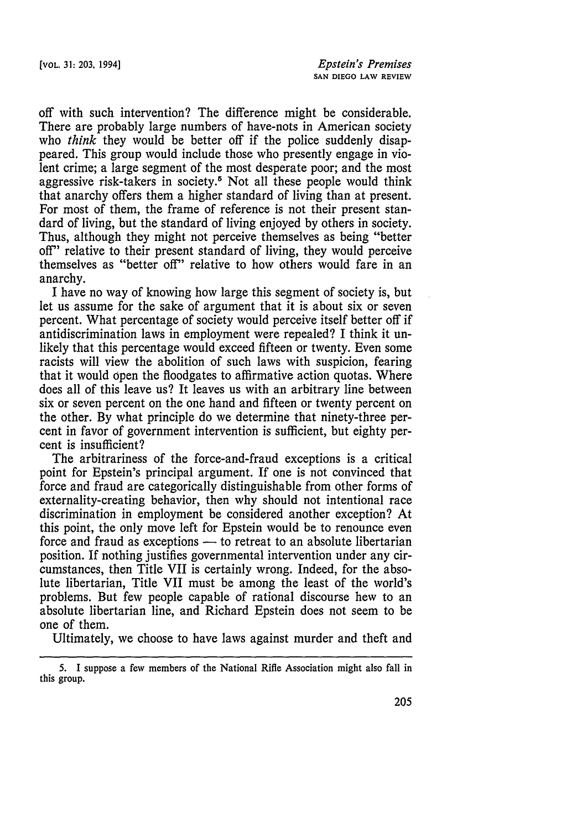off with such intervention? The difference might be considerable. There are probably large numbers of have-nots in American society who *think* they would be better off if the police suddenly disappeared. This group would include those who presently engage in violent crime; a large segment of the most desperate poor; and the most aggressive risk-takers in society.5 Not all these people would think that anarchy offers them a higher standard of living than at present. For most of them, the frame of reference is not their present standard of living, but the standard of living enjoyed by others in society. Thus, although they might not perceive themselves as being "better off" relative to their present standard of living, they would perceive themselves as "better off" relative to how others would fare in an anarchy.

I have no way of knowing how large this segment of society is, but let us assume for the sake of argument that it is about six or seven percent. What percentage of society would perceive itself better off if antidiscrimination laws in employment were repealed? I think it unlikely that this percentage would exceed fifteen or twenty. Even some racists will view the abolition of such laws with suspicion, fearing that it would open the floodgates to affirmative action quotas. Where does all of this leave us? It leaves us with an arbitrary line between six or seven percent on the one hand and fifteen or twenty percent on the other. By what principle do we determine that ninety-three percent in favor of government intervention is sufficient, but eighty percent is insufficient?

The arbitrariness of the force-and-fraud exceptions is a critical point for Epstein's principal argument. If one is not convinced that force and fraud are categorically distinguishable from other forms of externality-creating behavior, then why should not intentional race discrimination in employment be considered another exception? At this point, the only move left for Epstein would be to renounce even force and fraud as exceptions - to retreat to an absolute libertarian position. If nothing justifies governmental intervention under any circumstances, then Title VII is certainly wrong. Indeed, for the absolute libertarian, Title VII must be among the least of the world's problems. But few people capable of rational discourse hew to an absolute libertarian line, and Richard Epstein does not seem to be one of them.

Ultimately, we choose to have laws against murder and theft and

<sup>5.</sup> I suppose a few members of the National Rifle Association might also fall in this group.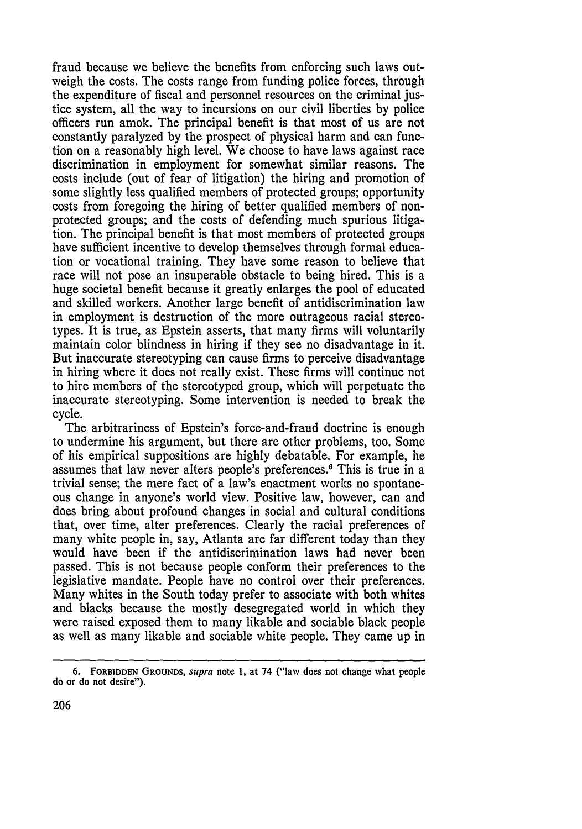fraud because we believe the benefits from enforcing such laws outweigh the costs. The costs range from funding police forces, through the expenditure of fiscal and personnel resources on the criminal justice system, all the way to incursions on our civil liberties by police officers run amok. The principal benefit is that most of us are not constantly paralyzed by the prospect of physical harm and can function on a reasonably high level. We choose to have laws against race discrimination in employment for somewhat similar reasons. The costs include (out of fear of litigation) the hiring and promotion of some slightly less qualified members of protected groups; opportunity costs from foregoing the hiring of better qualified members of nonprotected groups; and the costs of defending much spurious litigation. The principal benefit is that most members of protected groups have sufficient incentive to develop themselves through formal education or vocational training. They have some reason to believe that race will not pose an insuperable obstacle to being hired. This is a huge societal benefit because it greatly enlarges the pool of educated and skilled workers. Another large benefit of antidiscrimination law in employment is destruction of the more outrageous racial stereotypes. It is true, as Epstein asserts, that many firms will voluntarily maintain color blindness in hiring if they see no disadvantage in it. But inaccurate stereotyping can cause firms to perceive disadvantage in hiring where it does not really exist. These firms will continue not to hire members of the stereotyped group, which will perpetuate the inaccurate stereotyping. Some intervention is needed to break the cycle.

The arbitrariness of Epstein's force-and-fraud doctrine is enough to undermine his argument, but there are other problems, too. Some of his empirical suppositions are highly debatable. For example, he assumes that law never alters people's preferences. 6 This is true in a trivial sense; the mere fact of a law's enactment works no spontaneous change in anyone's world view. Positive law, however, can and does bring about profound changes in social and cultural conditions that, over time, alter preferences. Clearly the racial preferences of many white people in, say, Atlanta are far different today than they would have been if the antidiscrimination laws had never been passed. This is not because people conform their preferences to the legislative mandate. People have no control over their preferences. Many whites in the South today prefer to associate with both whites and blacks because the mostly desegregated world in which they were raised exposed them to many likable and sociable black people as well as many likable and sociable white people. They came up in

**<sup>6.</sup> FORBIDDEN GROUNDS,** *supra* **note 1,** at 74 ("law does not change what people do or do not desire").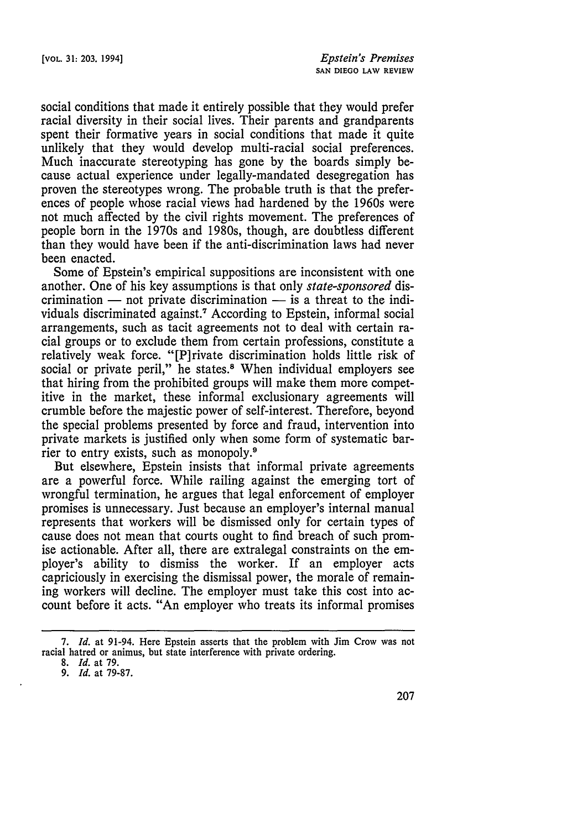social conditions that made it entirely possible that they would prefer racial diversity in their social lives. Their parents and grandparents spent their formative years in social conditions that made it quite unlikely that they would develop multi-racial social preferences. Much inaccurate stereotyping has gone **by** the boards simply because actual experience under legally-mandated desegregation has proven the stereotypes wrong. The probable truth is that the preferences of people whose racial views had hardened **by** the 1960s were not much affected **by** the civil rights movement. The preferences of people born in the 1970s and 1980s, though, are doubtless different than they would have been if the anti-discrimination laws had never been enacted.

Some of Epstein's empirical suppositions are inconsistent with one another. One of his key assumptions is that only *state-sponsored* discrimination  $-$  not private discrimination  $-$  is a threat to the individuals discriminated against.7 According to Epstein, informal social arrangements, such as tacit agreements not to deal with certain racial groups or to exclude them from certain professions, constitute a relatively weak force. "[P]rivate discrimination holds little risk of social or private peril," he states.<sup>8</sup> When individual employers see that hiring from the prohibited groups will make them more competitive in the market, these informal exclusionary agreements will crumble before the majestic power of self-interest. Therefore, beyond the special problems presented by force and fraud, intervention into private markets is justified only when some form of systematic barrier to entry exists, such as monopoly.<sup>9</sup>

But elsewhere, Epstein insists that informal private agreements are a powerful force. While railing against the emerging tort of wrongful termination, he argues that legal enforcement of employer promises is unnecessary. Just because an employer's internal manual represents that workers will be dismissed only for certain types of cause does not mean that courts ought to find breach of such promise actionable. After all, there are extralegal constraints on the employer's ability to dismiss the worker. If an employer acts capriciously in exercising the dismissal power, the morale of remaining workers will decline. The employer must take this cost into account before it acts. "An employer who treats its informal promises

*<sup>7.</sup> Id.* at 91-94. Here Epstein asserts that the problem with Jim Crow was not racial hatred or animus, but state interference with private ordering. 8. *Id.* at 79.

*<sup>9.</sup> Id.* at 79-87.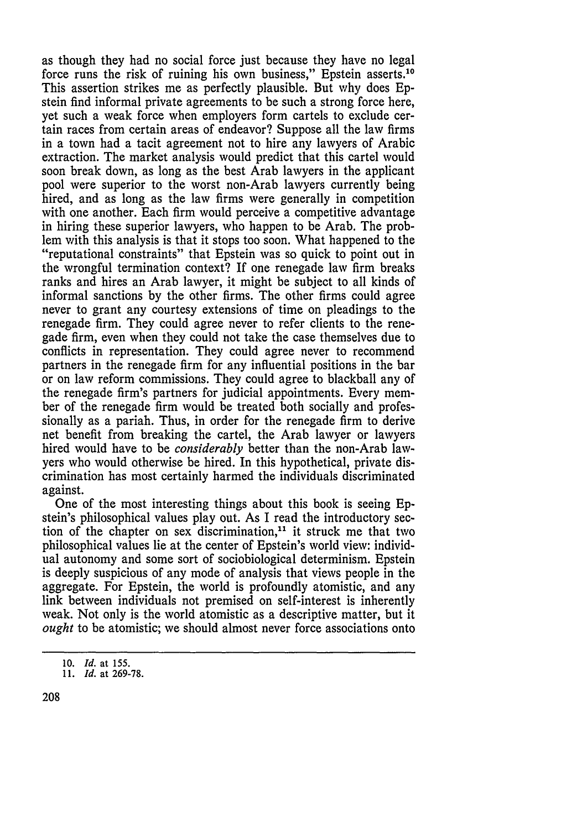as though they had no social force just because they have no legal force runs the risk of ruining his own business," Epstein asserts.10 This assertion strikes me as perfectly plausible. But why does Epstein find informal private agreements to be such a strong force here, yet such a weak force when employers form cartels to exclude certain races from certain areas of endeavor? Suppose all the law firms in a town had a tacit agreement not to hire any lawyers of Arabic extraction. The market analysis would predict that this cartel would soon break down, as long as the best Arab lawyers in the applicant pool were superior to the worst non-Arab lawyers currently being hired, and as long as the law firms were generally in competition with one another. Each firm would perceive a competitive advantage in hiring these superior lawyers, who happen to be Arab. The problem with this analysis is that it stops too soon. What happened to the "reputational constraints" that Epstein was so quick to point out in the wrongful termination context? If one renegade law firm breaks ranks and hires an Arab lawyer, it might be subject to all kinds of informal sanctions by the other firms. The other firms could agree never to grant any courtesy extensions of time on pleadings to the renegade firm. They could agree never to refer clients to the renegade firm, even when they could not take the case themselves due to conflicts in representation. They could agree never to recommend partners in the renegade firm for any influential positions in the bar or on law reform commissions. They could agree to blackball any of the renegade firm's partners for judicial appointments. Every member of the renegade firm would be treated both socially and professionally as a pariah. Thus, in order for the renegade firm to derive net benefit from breaking the cartel, the Arab lawyer or lawyers hired would have to be *considerably* better than the non-Arab lawyers who would otherwise be hired. In this hypothetical, private discrimination has most certainly harmed the individuals discriminated against.

One of the most interesting things about this book is seeing Epstein's philosophical values play out. As I read the introductory section of the chapter on sex discrimination, $11$  it struck me that two philosophical values lie at the center of Epstein's world view: individual autonomy and some sort of sociobiological determinism. Epstein is deeply suspicious of any mode of analysis that views people in the aggregate. For Epstein, the world is profoundly atomistic, and any link between individuals not premised on self-interest is inherently weak. Not only is the world atomistic as a descriptive matter, but it *ought* to be atomistic; we should almost never force associations onto

**<sup>10.</sup>** *Id.* at **155.**

*<sup>11.</sup> Id.* at **269-78.**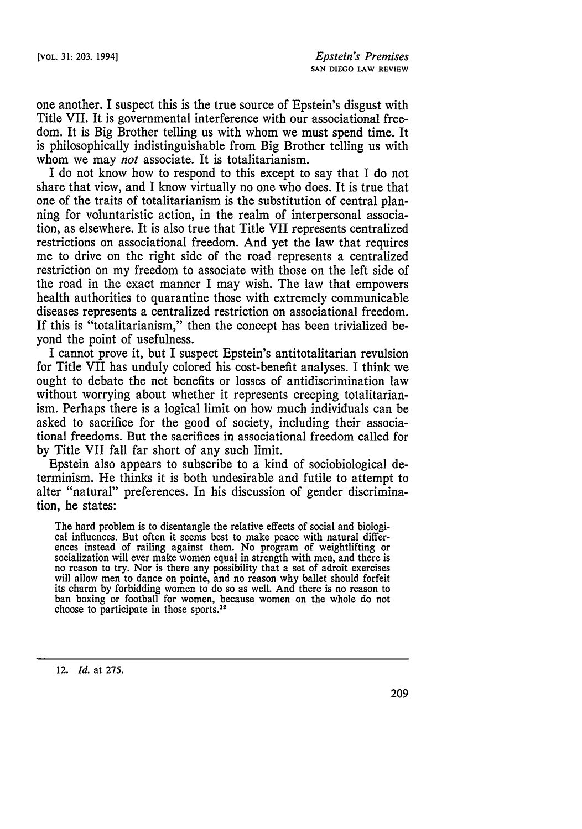one another. I suspect this is the true source of Epstein's disgust with Title VII. It is governmental interference with our associational freedom. It is Big Brother telling us with whom we must spend time. It is philosophically indistinguishable from Big Brother telling us with whom we may *not* associate. It is totalitarianism.

I do not know how to respond to this except to say that I do not share that view, and I know virtually no one who does. It is true that one of the traits of totalitarianism is the substitution of central planning for voluntaristic action, in the realm of interpersonal association, as elsewhere. It is also true that Title VII represents centralized restrictions on associational freedom. And yet the law that requires me to drive on the right side of the road represents a centralized restriction on my freedom to associate with those on the left side of the road in the exact manner I may wish. The law that empowers health authorities to quarantine those with extremely communicable diseases represents a centralized restriction on associational freedom. If this is "totalitarianism," then the concept has been trivialized beyond the point of usefulness.

I cannot prove it, but I suspect Epstein's antitotalitarian revulsion for Title VII has unduly colored his cost-benefit analyses. I think we ought to debate the net benefits or losses of antidiscrimination law without worrying about whether it represents creeping totalitarianism. Perhaps there is a logical limit on how much individuals can be asked to sacrifice for the good of society, including their associational freedoms. But the sacrifices in associational freedom called for by Title VII fall far short of any such limit.

Epstein also appears to subscribe to a kind of sociobiological determinism. He thinks it is both undesirable and futile to attempt to alter "natural" preferences. In his discussion of gender discrimination, he states:

The hard problem is to disentangle the relative effects of social and biologi- cal influences. But often it seems best to make peace with natural differences instead of railing against them. No program of weightlifting or socialization will ever make women equal in strength with men, and there is no reason to try. Nor is there any possibility that a set of adroit exercises will allow men to dance on pointe, and no reason why ballet should forfeit its charm by forbidding women to do so as well. And there is no reason to ban boxing or football for women, because women on the whole do not choose to participate in those sports.<sup>12</sup>

12. *Id.* at 275.